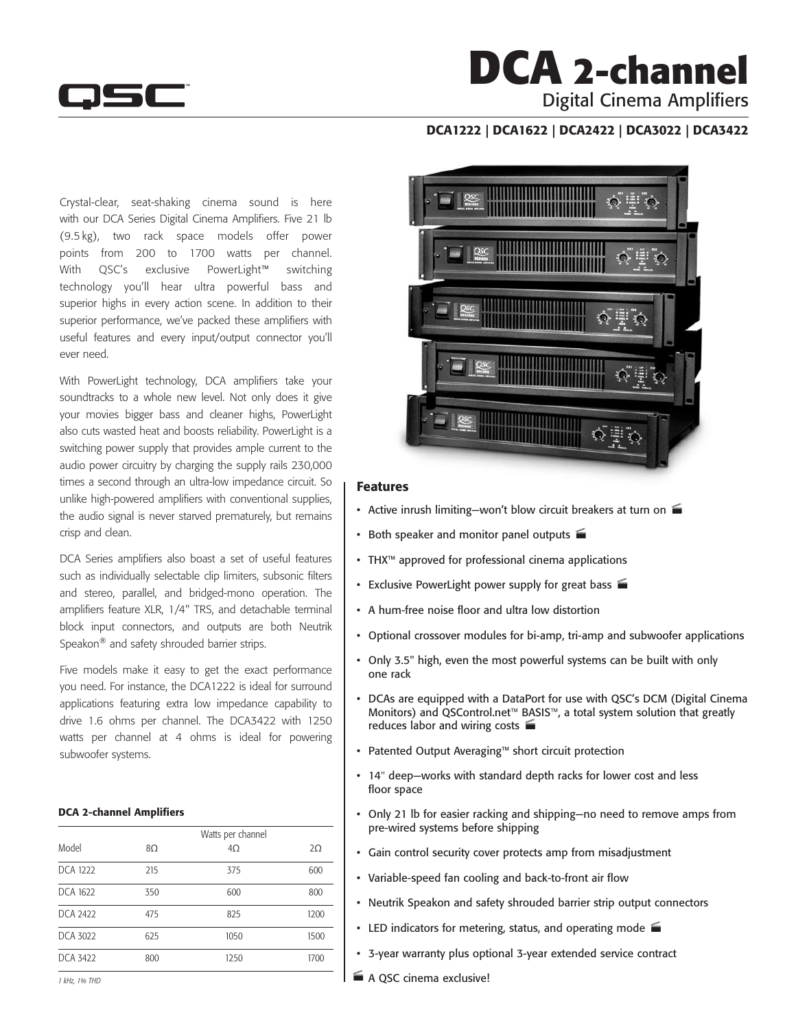

## **DCA 2-channel** Digital Cinema Amplifiers

### DCA1222 | DCA1622 | DCA2422 | DCA3022 | DCA3422

Crystal-clear, seat-shaking cinema sound is here with our DCA Series Digital Cinema Amplifiers. Five 21 lb (9.5 kg), two rack space models offer power points from 200 to 1700 watts per channel. With QSC's exclusive PowerLight™ switching technology you'll hear ultra powerful bass and superior highs in every action scene. In addition to their superior performance, we've packed these amplifiers with useful features and every input/output connector you'll ever need.

With PowerLight technology, DCA amplifiers take your soundtracks to a whole new level. Not only does it give your movies bigger bass and cleaner highs, PowerLight also cuts wasted heat and boosts reliability. PowerLight is a switching power supply that provides ample current to the audio power circuitry by charging the supply rails 230,000 times a second through an ultra-low impedance circuit. So unlike high-powered amplifiers with conventional supplies, the audio signal is never starved prematurely, but remains crisp and clean.

DCA Series amplifiers also boast a set of useful features such as individually selectable clip limiters, subsonic filters and stereo, parallel, and bridged-mono operation. The amplifiers feature XLR, 1/4" TRS, and detachable terminal block input connectors, and outputs are both Neutrik Speakon<sup>®</sup> and safety shrouded barrier strips.

Five models make it easy to get the exact performance you need. For instance, the DCA1222 is ideal for surround applications featuring extra low impedance capability to drive 1.6 ohms per channel. The DCA3422 with 1250 watts per channel at 4 ohms is ideal for powering subwoofer systems.

#### DCA 2-channel Amplifiers

| Model    | Watts per channel<br>$4\Omega$<br>$2\Omega$<br>8Ω |      |      |  |  |
|----------|---------------------------------------------------|------|------|--|--|
| DCA 1222 | 215                                               | 375  | 600  |  |  |
| DCA 1622 | 350                                               | 600  | 800  |  |  |
| DCA 2422 | 475                                               | 825  | 1200 |  |  |
| DCA 3022 | 625                                               | 1050 | 1500 |  |  |
| DCA 3422 | 800                                               | 1250 | 1700 |  |  |



#### Features

- Active inrush limiting—won't blow circuit breakers at turn on
- Both speaker and monitor panel outputs
- • THX™ approved for professional cinema applications
- Exclusive PowerLight power supply for great bass
- • A hum-free noise floor and ultra low distortion
- Optional crossover modules for bi-amp, tri-amp and subwoofer applications
- Only 3.5" high, even the most powerful systems can be built with only one rack
- DCAs are equipped with a DataPort for use with QSC's DCM (Digital Cinema Monitors) and QSControl.net™ BASIS™, a total system solution that greatly reduces labor and wiring costs
- • Patented Output Averaging™ short circuit protection
- 14" deep-works with standard depth racks for lower cost and less floor space
- • Only 21 lb for easier racking and shipping—no need to remove amps from pre-wired systems before shipping
- • Gain control security cover protects amp from misadjustment
- Variable-speed fan cooling and back-to-front air flow
- Neutrik Speakon and safety shrouded barrier strip output connectors
- LED indicators for metering, status, and operating mode  $\blacksquare$
- 3-year warranty plus optional 3-year extended service contract
- A QSC cinema exclusive!

*1 kHz, 1% THD*